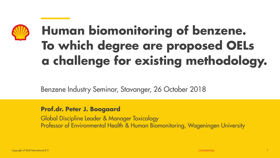

### Human biomonitoring of benzene. To which degree are proposed OELs a challenge for existing methodology.

Benzene Industry Seminar, Stavanger, 26 October 2018

### Prof.dr. Peter J. Boogaard

Global Discipline Leader & Manager Toxicology Professor of Environmental Health & Human Biomonitoring, Wageningen University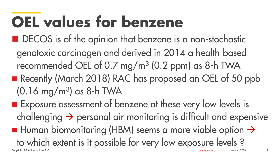# OEL values for benzene

- DECOS is of the opinion that benzene is a non-stochastic
- genotoxic carcinogen and derived in 2014 a health-based recommended OEL of 0.7 mg/m<sup>3</sup> (0.2 ppm) as 8-h TWA ■ Recently (March 2018) RAC has proposed an OEL of 50 ppb
	- (0.16 mg/m<sup>3</sup> ) as 8-h TWA
- Copyright of Shell International B.V. **Exposure assessment of benzene at these very low levels is**  $challenging \rightarrow$  personal air monitoring is difficult and expensive  $\blacksquare$  Human biomonitoring (HBM) seems a more viable option  $\rightarrow$ to which extent is it possible for very low exposure levels ? oktober 2018 2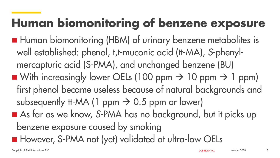### Human biomonitoring of benzene exposure

■ Human biomonitoring (HBM) of urinary benzene metabolites is well established: phenol, t,t-muconic acid (tt-MA), *S*-phenylmercapturic acid (S-PMA), and unchanged benzene (BU) With increasingly lower OELs (100 ppm  $\rightarrow$  10 ppm  $\rightarrow$  1 ppm) first phenol became useless because of natural backgrounds and subsequently II-MA (1 ppm  $\rightarrow$  0.5 ppm or lower) ■ As far as we know, S-PMA has no background, but it picks up benzene exposure caused by smoking **However, S-PMA not (yet) validated at ultra-low OELs**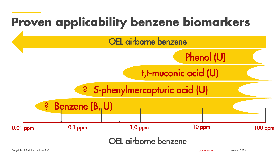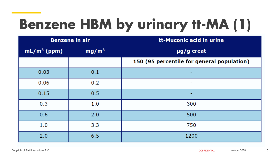### Benzene HBM by urinary tt-MA (1)

| <b>Benzene in air</b> |                   | tt-Muconic acid in urine                   |
|-----------------------|-------------------|--------------------------------------------|
| $mL/m^3$ (ppm)        | mg/m <sup>3</sup> | µg/g creat                                 |
|                       |                   | 150 (95 percentile for general population) |
| 0.03                  | 0.1               |                                            |
| 0.06                  | 0.2               | ٠                                          |
| 0.15                  | 0.5               | -                                          |
| 0.3                   | 1.0               | 300                                        |
| 0.6                   | 2.0               | 500                                        |
| 1.0                   | 3.3               | 750                                        |
| 2.0                   | 6.5               | 1200                                       |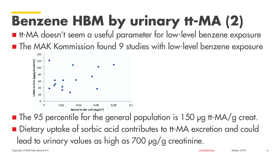### Benzene HBM by urinary tt-MA (2)

■ It-MA doesn't seem a useful parameter for low-level benzene exposure **The MAK Kommission found 9 studies with low-level benzene exposure** 



■ The 95 percentile for the general population is 150 µg tt-MA/g creat. ■ Dietary uptake of sorbic acid contributes to tt-MA excretion and could lead to urinary values as high as 700 μg/g creatinine.

Copyright of Shell International B.V. CONFIDENTIAL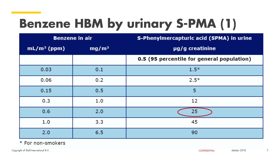### Benzene HBM by urinary S-PMA (1)

| <b>Benzene in air</b> |                   | <b>S-Phenylmercapturic acid (SPMA) in urine</b> |
|-----------------------|-------------------|-------------------------------------------------|
| $mL/m^3$ (ppm)        | mg/m <sup>3</sup> | µg/g creatinine                                 |
|                       |                   | 0.5 (95 percentile for general population)      |
| 0.03                  | 0.1               | $1.5*$                                          |
| 0.06                  | 0.2               | $2.5*$                                          |
| 0.15                  | 0.5               | 5                                               |
| 0.3                   | 1.0               | 12                                              |
| 0.6                   | 2.0               | 25                                              |
| 1.0                   | 3.3               | 45                                              |
| 2.0                   | 6.5               | 90                                              |

#### \* For non-smokers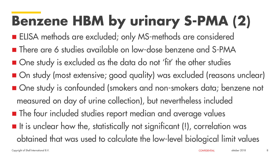# Benzene HBM by urinary S-PMA (2)

- **ELISA methods are excluded; only MS-methods are considered**
- There are 6 studies available on low-dose benzene and S-PMA
- One study is excluded as the data do not 'fit' the other studies
- On study (most extensive; good quality) was excluded (reasons unclear) ■ One study is confounded (smokers and non-smokers data; benzene not measured on day of urine collection), but nevertheless included **The four included studies report median and average values**  $\blacksquare$  It is unclear how the, statistically not significant (!), correlation was obtained that was used to calculate the low-level biological limit values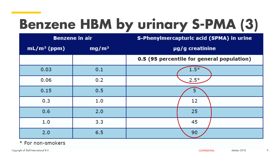### Benzene HBM by urinary S-PMA (3)

| <b>Benzene in air</b> |                   | <b>S-Phenylmercapturic acid (SPMA) in urine</b> |
|-----------------------|-------------------|-------------------------------------------------|
| $mL/m^3$ (ppm)        | mg/m <sup>3</sup> | µg/g creatinine                                 |
|                       |                   | 0.5 (95 percentile for general population)      |
| 0.03                  | 0.1               | $1.5*$                                          |
| 0.06                  | 0.2               | $2.5*$                                          |
| 0.15                  | 0.5               | 5                                               |
| 0.3                   | 1.0               | 12                                              |
| 0.6                   | 2.0               | 25                                              |
| 1.0                   | 3,3               | 45                                              |
| 2.0                   | 6.5               | 90                                              |

#### \* For non-smokers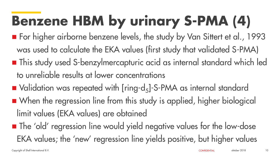### Benzene HBM by urinary S-PMA (4)

- For higher airborne benzene levels, the study by Van Sittert et al., 1993 was used to calculate the EKA values (first study that validated S-PMA) ■ This study used S-benzylmercapturic acid as internal standard which led to unreliable results at lower concentrations
- $\blacksquare$  Validation was repeated with [ring-d<sub>5</sub>]-S-PMA as internal standard ■ When the regression line from this study is applied, higher biological limit values (EKA values) are obtained
- **The 'old' regression line would yield negative values for the low-dose** EKA values; the 'new' regression line yields positive, but higher values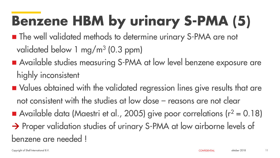# Benzene HBM by urinary S-PMA (5)

- **The well validated methods to determine urinary S-PMA are not** validated below 1 mg/m<sup>3</sup> (0.3 ppm)
- Available studies measuring S-PMA at low level benzene exposure are highly inconsistent
- Values obtained with the validated regression lines give results that are not consistent with the studies at low dose – reasons are not clear
- Available data (Maestri et al., 2005) give poor correlations ( $r^2 = 0.18$ ) → Proper validation studies of urinary S-PMA at low airborne levels of benzene are needed !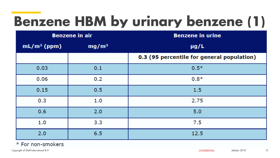### Benzene HBM by urinary benzene (1)

| <b>Benzene in air</b> |                   | <b>Benzene in urine</b>                    |
|-----------------------|-------------------|--------------------------------------------|
| $mL/m^3$ (ppm)        | mg/m <sup>3</sup> | $\mu$ g/L                                  |
|                       |                   | 0.3 (95 percentile for general population) |
| 0.03                  | 0.1               | $0.5*$                                     |
| 0.06                  | 0.2               | $0.8*$                                     |
| 0.15                  | 0.5               | 1.5                                        |
| 0.3                   | 1.0               | 2.75                                       |
| 0.6                   | 2.0               | 5.0                                        |
| 1.0                   | 3.3               | 7.5                                        |
| 2.0                   | 6.5               | 12.5                                       |

#### \* For non-smokers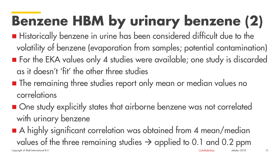# Benzene HBM by urinary benzene (2)

- **Historically benzene in urine has been considered difficult due to the** volatility of benzene (evaporation from samples; potential contamination) ■ For the EKA values only 4 studies were available; one study is discarded as it doesn't 'fit' the other three studies
- **The remaining three studies report only mean or median values no** correlations
- One study explicitly states that airborne benzene was not correlated with urinary benzene
- A highly significant correlation was obtained from 4 mean/median values of the three remaining studies  $\rightarrow$  applied to 0.1 and 0.2 ppm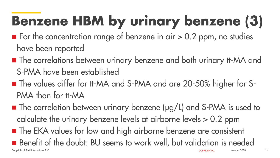# Benzene HBM by urinary benzene (3)

- $\blacksquare$  For the concentration range of benzene in air  $> 0.2$  ppm, no studies have been reported
- **The correlations between urinary benzene and both urinary It-MA and** S-PMA have been established
- The values differ for tt-MA and S-PMA and are 20-50% higher for S-PMA than for **II-MA**
- Copyright of Shell International B.V. ■ The correlation between urinary benzene (µg/L) and S-PMA is used to calculate the urinary benzene levels at airborne levels > 0.2 ppm **The EKA values for low and high airborne benzene are consistent** ■ Benefit of the doubt: BU seems to work well, but validation is needed oktober 2018 14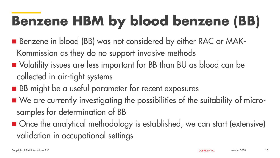### Benzene HBM by blood benzene (BB)

- Benzene in blood (BB) was not considered by either RAC or MAK-Kommission as they do no support invasive methods
- Volatility issues are less important for BB than BU as blood can be collected in air-tight systems
- **BB** might be a useful parameter for recent exposures
- We are currently investigating the possibilities of the suitability of microsamples for determination of BB
- Once the analytical methodology is established, we can start (extensive) validation in occupational settings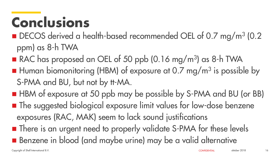### Conclusions

- DECOS derived a health-based recommended OEL of 0.7 mg/m<sup>3</sup> (0.2 ppm) as 8-h TWA
- RAC has proposed an OEL of 50 ppb (0.16 mg/m<sup>3</sup>) as 8-h TWA
- **H** Human biomonitoring (HBM) of exposure at 0.7 mg/m<sup>3</sup> is possible by S-PMA and BU, but not by tt-MA.
- HBM of exposure at 50 ppb may be possible by S-PMA and BU (or BB) **The suggested biological exposure limit values for low-dose benzene** exposures (RAC, MAK) seem to lack sound justifications
- **There is an urgent need to properly validate S-PMA for these levels** ■ Benzene in blood (and maybe urine) may be a valid alternative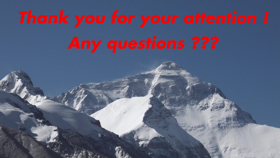Copyright of Shell International B.V.